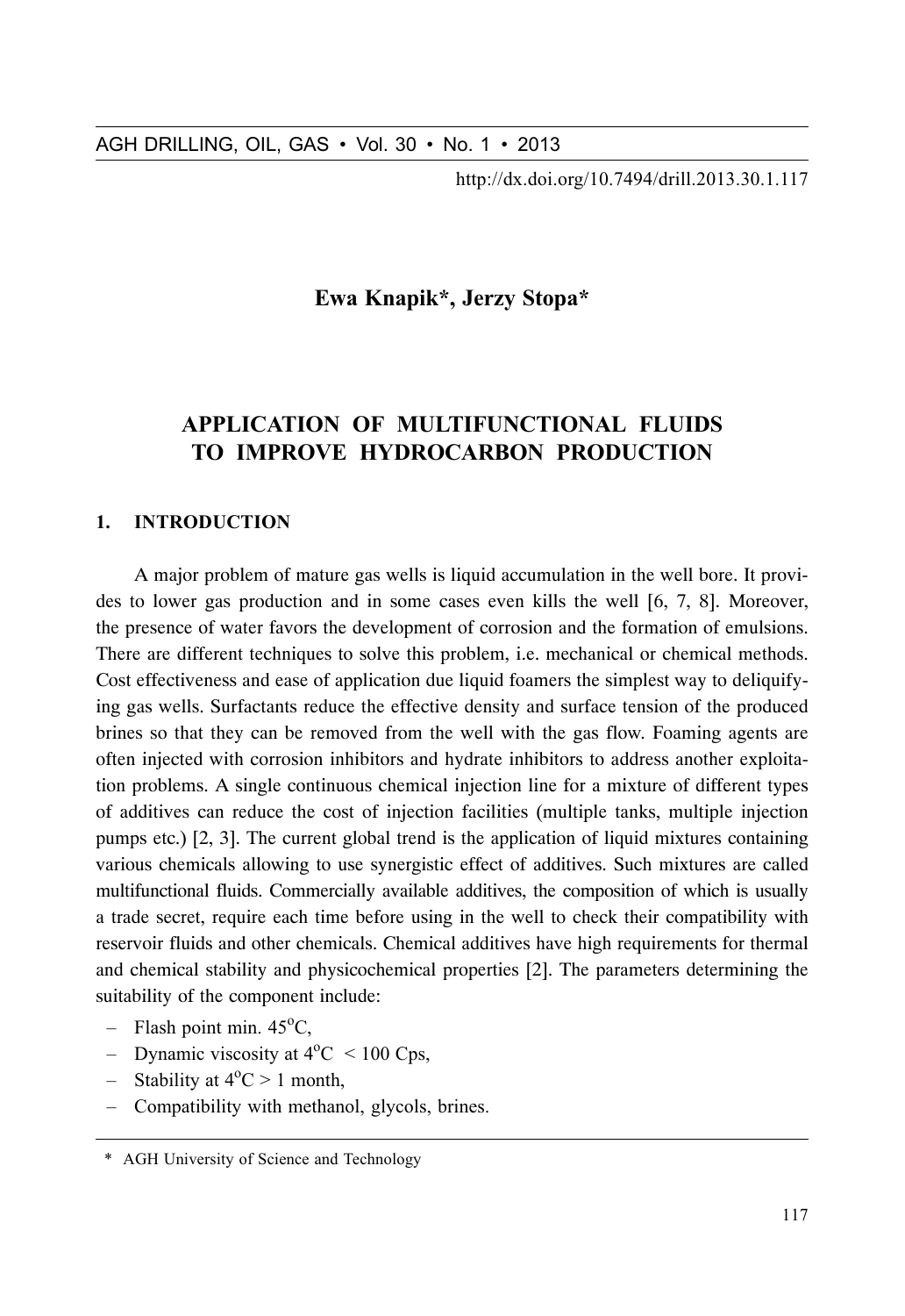http://dx.doi.org/10.7494/drill.2013.30.1.117

# Ewa Knapik\*, Jerzy Stopa\*

# **APPLICATION OF MULTIFUNCTIONAL FLUIDS** TO IMPROVE HYDROCARBON PRODUCTION

#### 1. **INTRODUCTION**

A major problem of mature gas wells is liquid accumulation in the well bore. It provides to lower gas production and in some cases even kills the well [6, 7, 8]. Moreover, the presence of water favors the development of corrosion and the formation of emulsions. There are different techniques to solve this problem, i.e. mechanical or chemical methods. Cost effectiveness and ease of application due liquid foamers the simplest way to deliquifying gas wells. Surfactants reduce the effective density and surface tension of the produced brines so that they can be removed from the well with the gas flow. Foaming agents are often injected with corrosion inhibitors and hydrate inhibitors to address another exploitation problems. A single continuous chemical injection line for a mixture of different types of additives can reduce the cost of injection facilities (multiple tanks, multiple injection pumps etc.) [2, 3]. The current global trend is the application of liquid mixtures containing various chemicals allowing to use synergistic effect of additives. Such mixtures are called multifunctional fluids. Commercially available additives, the composition of which is usually a trade secret, require each time before using in the well to check their compatibility with reservoir fluids and other chemicals. Chemical additives have high requirements for thermal and chemical stability and physicochemical properties [2]. The parameters determining the suitability of the component include:

- $-$  Flash point min. 45<sup>o</sup>C,
- Dynamic viscosity at  $4^{\circ}$ C < 100 Cps,
- Stability at  $4^{\circ}C > 1$  month,
- Compatibility with methanol, glycols, brines.

<sup>\*</sup> AGH University of Science and Technology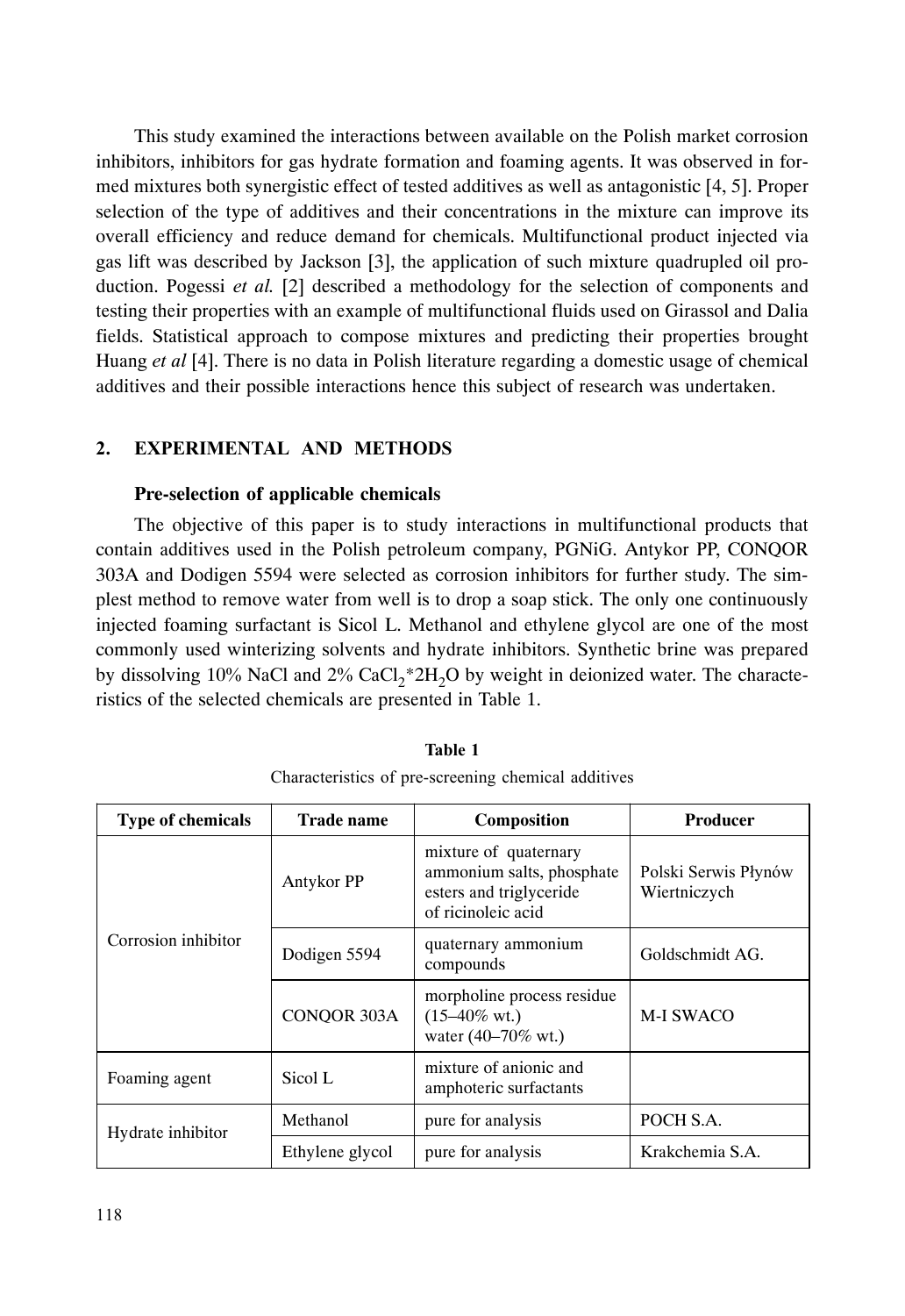This study examined the interactions between available on the Polish market corrosion inhibitors, inhibitors for gas hydrate formation and foaming agents. It was observed in formed mixtures both synergistic effect of tested additives as well as antagonistic [4, 5]. Proper selection of the type of additives and their concentrations in the mixture can improve its overall efficiency and reduce demand for chemicals. Multifunctional product injected via gas lift was described by Jackson [3], the application of such mixture quadrupled oil production. Pogessi *et al.* [2] described a methodology for the selection of components and testing their properties with an example of multifunctional fluids used on Girassol and Dalia fields. Statistical approach to compose mixtures and predicting their properties brought Huang *et al* [4]. There is no data in Polish literature regarding a domestic usage of chemical additives and their possible interactions hence this subject of research was undertaken.

#### $2.$ XPERIMENTAL AND METHODS

### **Pre-selection of applicable chemicals**

The objective of this paper is to study interactions in multifunctional products that contain additives used in the Polish petroleum company, PGNiG. Antykor PP, CONQOR 303A and Dodigen 5594 were selected as corrosion inhibitors for further study. The simplest method to remove water from well is to drop a soap stick. The only one continuously injected foaming surfactant is Sicol L. Methanol and ethylene glycol are one of the most commonly used winterizing solvents and hydrate inhibitors. Synthetic brine was prepared by dissolving  $10\%$  NaCl and  $2\%$  CaCl<sub>2</sub>\*2H<sub>2</sub>O by weight in deionized water. The characteristics of the selected chemicals are presented in Table 1.

| <b>Type of chemicals</b> | <b>Trade name</b> | Composition                                                                                         | <b>Producer</b>                      |
|--------------------------|-------------------|-----------------------------------------------------------------------------------------------------|--------------------------------------|
| Corrosion inhibitor      | Antykor PP        | mixture of quaternary<br>ammonium salts, phosphate<br>esters and triglyceride<br>of ricinoleic acid | Polski Serwis Płynów<br>Wiertniczych |
|                          | Dodigen 5594      | quaternary ammonium<br>compounds                                                                    | Goldschmidt AG.                      |
|                          | CONOOR 303A       | morpholine process residue<br>$(15-40\% \text{ wt.})$<br>water $(40-70\% \text{ wt.})$              | <b>M-I SWACO</b>                     |
| Foaming agent            | Sicol L           | mixture of anionic and<br>amphoteric surfactants                                                    |                                      |
| Hydrate inhibitor        | Methanol          | pure for analysis                                                                                   | POCH S.A.                            |
|                          | Ethylene glycol   | pure for analysis                                                                                   | Krakchemia S.A.                      |

# Table 1 Characteristics of pre-screening chemical additives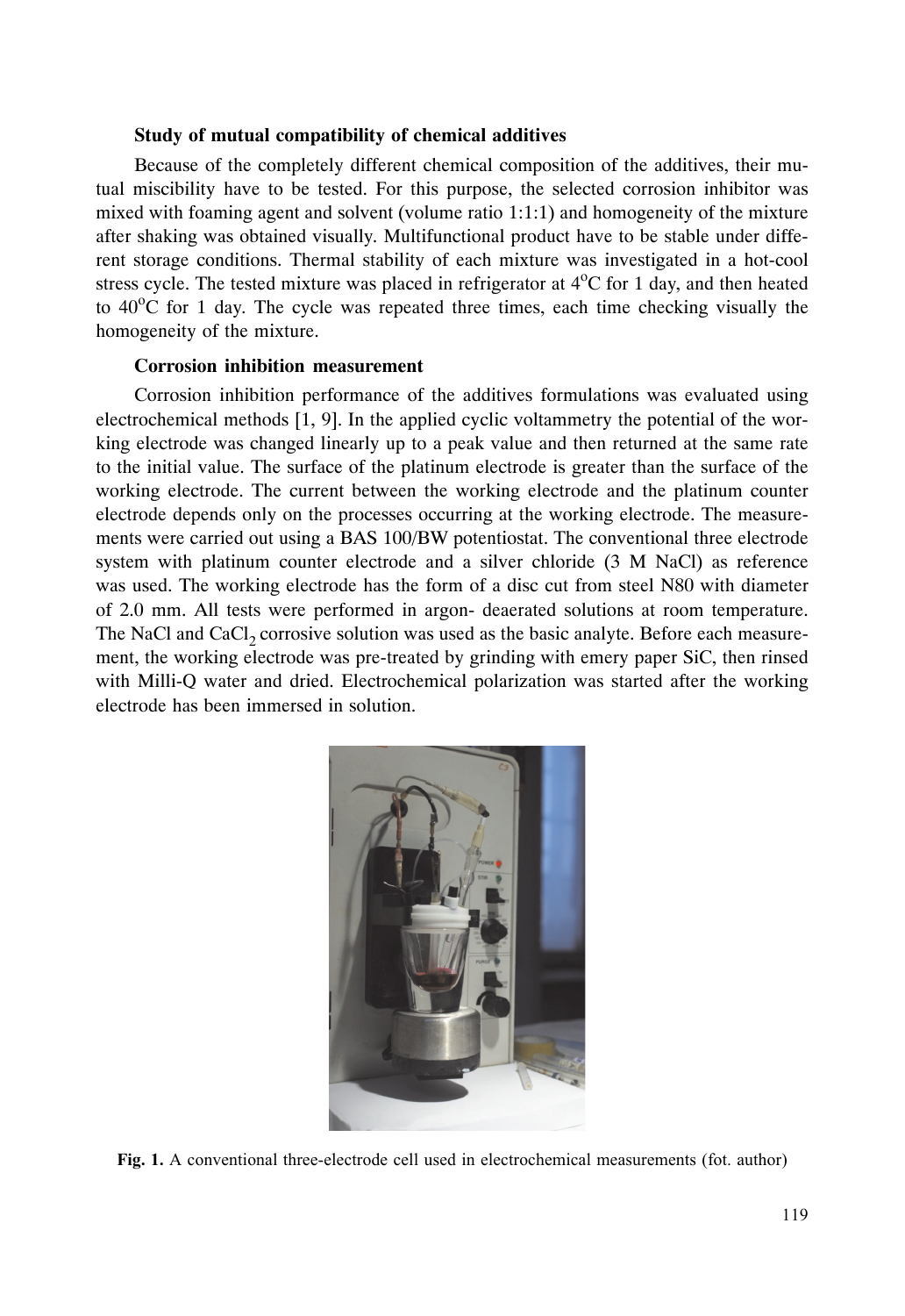#### **Study of mutual compatibility of chemical additives**

Because of the completely different chemical composition of the additives, their mutual miscibility have to be tested. For this purpose, the selected corrosion inhibitor was mixed with foaming agent and solvent (volume ratio 1:1:1) and homogeneity of the mixture after shaking was obtained visually. Multifunctional product have to be stable under different storage conditions. Thermal stability of each mixture was investigated in a hot-cool stress cycle. The tested mixture was placed in refrigerator at  $4^{\circ}$ C for 1 day, and then heated to  $40^{\circ}$ C for 1 day. The cycle was repeated three times, each time checking visually the homogeneity of the mixture.

#### **Corrosion inhibition measurement**

Corrosion inhibition performance of the additives formulations was evaluated using electrochemical methods [1, 9]. In the applied cyclic voltammetry the potential of the working electrode was changed linearly up to a peak value and then returned at the same rate to the initial value. The surface of the platinum electrode is greater than the surface of the working electrode. The current between the working electrode and the platinum counter electrode depends only on the processes occurring at the working electrode. The measurements were carried out using a BAS 100/BW potentiostat. The conventional three electrode system with platinum counter electrode and a silver chloride (3 M NaCl) as reference was used. The working electrode has the form of a disc cut from steel N80 with diameter of 2.0 mm. All tests were performed in argon- deaerated solutions at room temperature. The NaCl and CaCl<sub>2</sub> corrosive solution was used as the basic analyte. Before each measurement, the working electrode was pre-treated by grinding with emery paper SiC, then rinsed with Milli-Q water and dried. Electrochemical polarization was started after the working electrode has been immersed in solution.



Fig. 1. A conventional three-electrode cell used in electrochemical measurements (fot. author)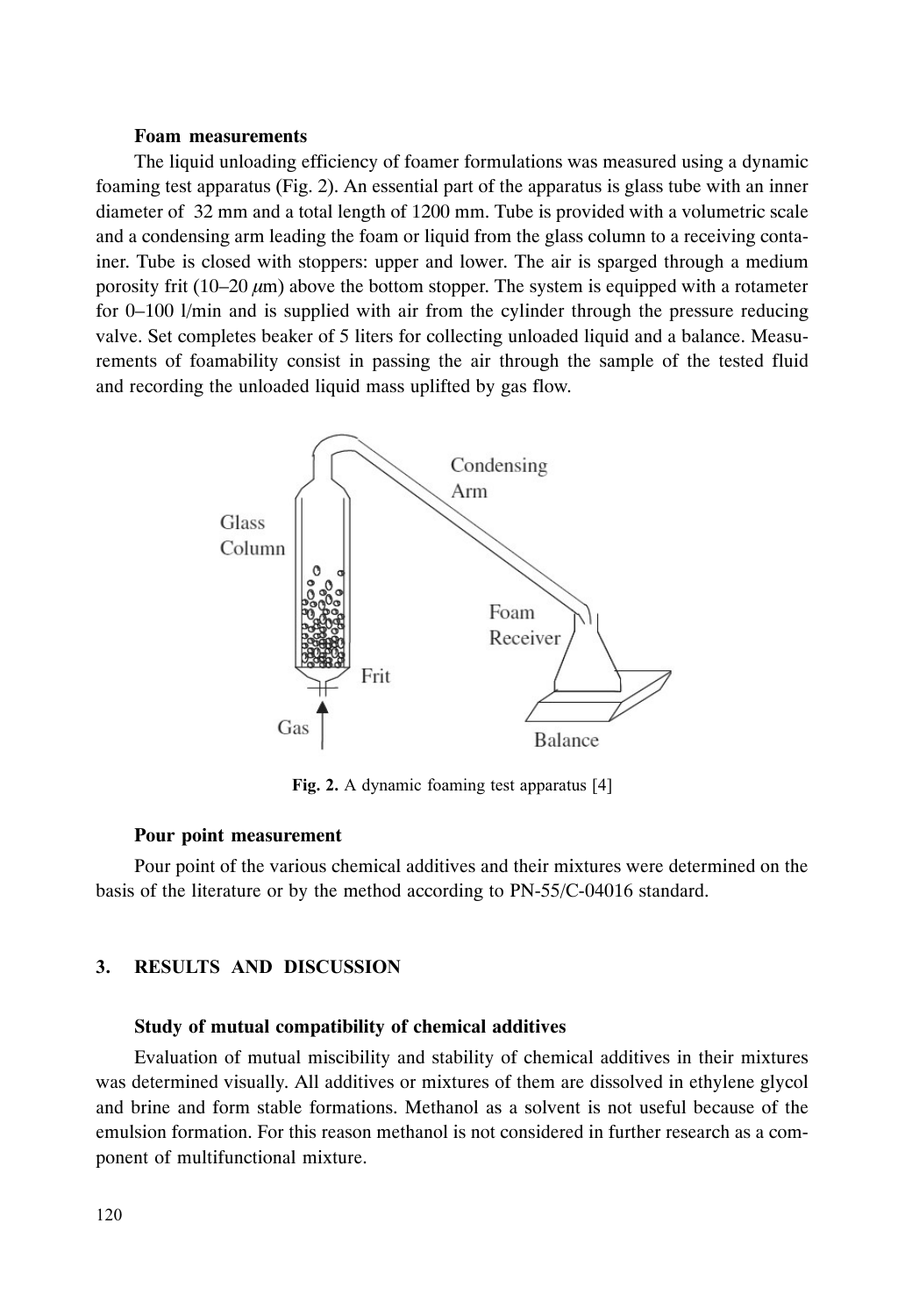#### **Foam measurements**

The liquid unloading efficiency of foamer formulations was measured using a dynamic foaming test apparatus (Fig. 2). An essential part of the apparatus is glass tube with an inner diameter of 32 mm and a total length of 1200 mm. Tube is provided with a volumetric scale and a condensing arm leading the foam or liquid from the glass column to a receiving container. Tube is closed with stoppers: upper and lower. The air is sparged through a medium porosity frit (10–20  $\mu$ m) above the bottom stopper. The system is equipped with a rotameter for 0–100 l/min and is supplied with air from the cylinder through the pressure reducing valve. Set completes beaker of 5 liters for collecting unloaded liquid and a balance. Measurements of foamability consist in passing the air through the sample of the tested fluid and recording the unloaded liquid mass uplifted by gas flow.



Fig. 2. A dynamic foaming test apparatus [4]

#### **Pour point measurement**

Pour point of the various chemical additives and their mixtures were determined on the basis of the literature or by the method according to PN-55/C-04016 standard.

### 3. RESULTS AND DISCUSSION

#### **Study of mutual compatibility of chemical additives**

Evaluation of mutual miscibility and stability of chemical additives in their mixtures was determined visually. All additives or mixtures of them are dissolved in ethylene glycol and brine and form stable formations. Methanol as a solvent is not useful because of the emulsion formation. For this reason methanol is not considered in further research as a component of multifunctional mixture.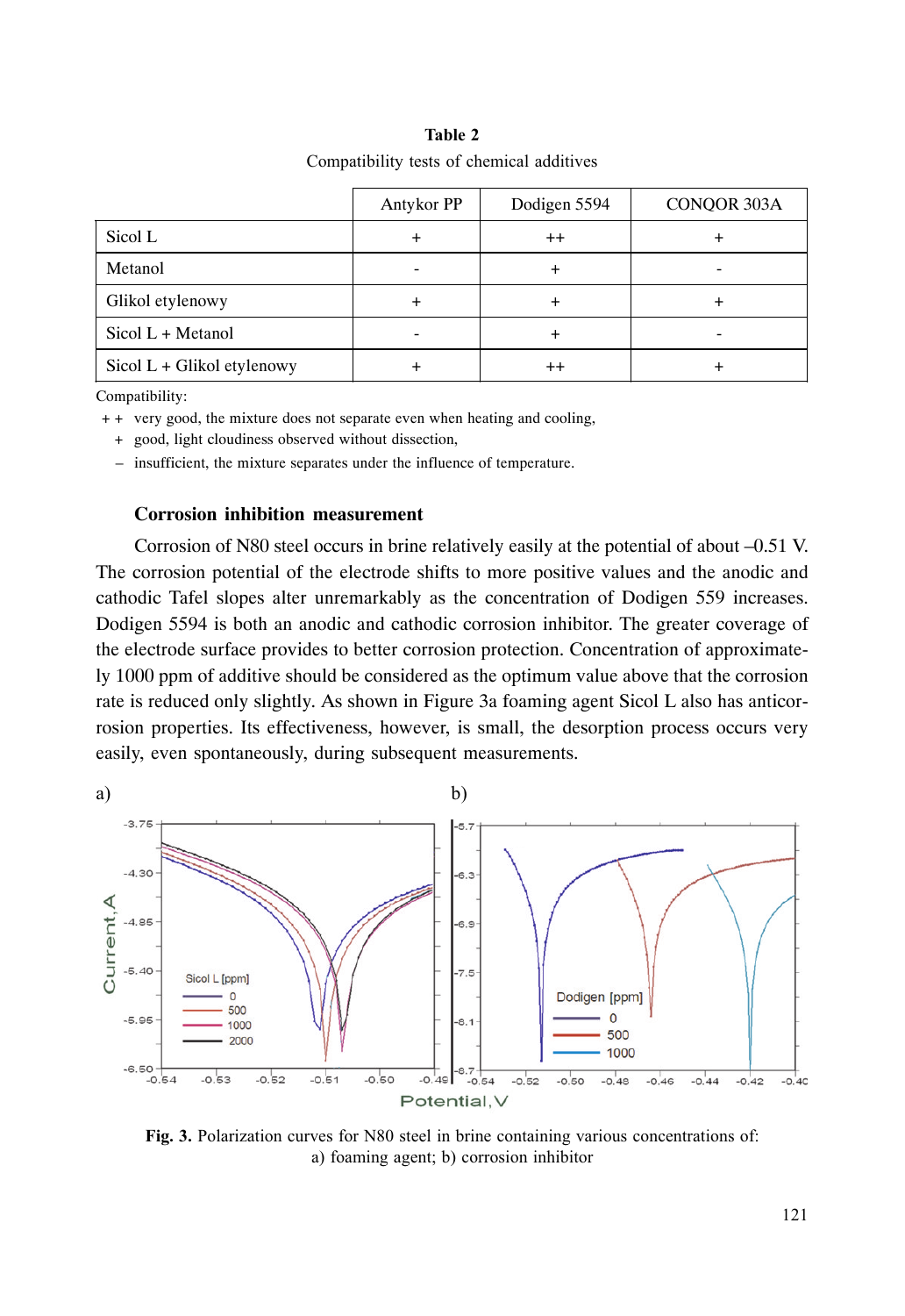## Table 2 Compatibility tests of chemical additives

|                            | Antykor PP | Dodigen 5594 | CONQOR 303A |
|----------------------------|------------|--------------|-------------|
| Sicol L                    |            | $^{++}$      |             |
| Metanol                    |            |              |             |
| Glikol etylenowy           |            |              |             |
| Sicol $L + Metanol$        |            |              |             |
| Sicol L + Glikol etylenowy |            | $^{++}$      |             |

Compatibility:

+ + very good, the mixture does not separate even when heating and cooling,

+ good, light cloudiness observed without dissection,

– insufficient, the mixture separates under the influence of temperature.

## **Corrosion inhibition measurement**

Corrosion of N80 steel occurs in brine relatively easily at the potential of about –0.51 V. The corrosion potential of the electrode shifts to more positive values and the anodic and cathodic Tafel slopes alter unremarkably as the concentration of Dodigen 559 increases. Dodigen 5594 is both an anodic and cathodic corrosion inhibitor. The greater coverage of the electrode surface provides to better corrosion protection. Concentration of approximately 1000 ppm of additive should be considered as the optimum value above that the corrosion rate is reduced only slightly. As shown in Figure 3a foaming agent Sicol L also has anticorrosion properties. Its effectiveness, however, is small, the desorption process occurs very easily, even spontaneously, during subsequent measurements.



Fig. 3. Polarization curves for N80 steel in brine containing various concentrations of: a) foaming agent; b) corrosion inhibitor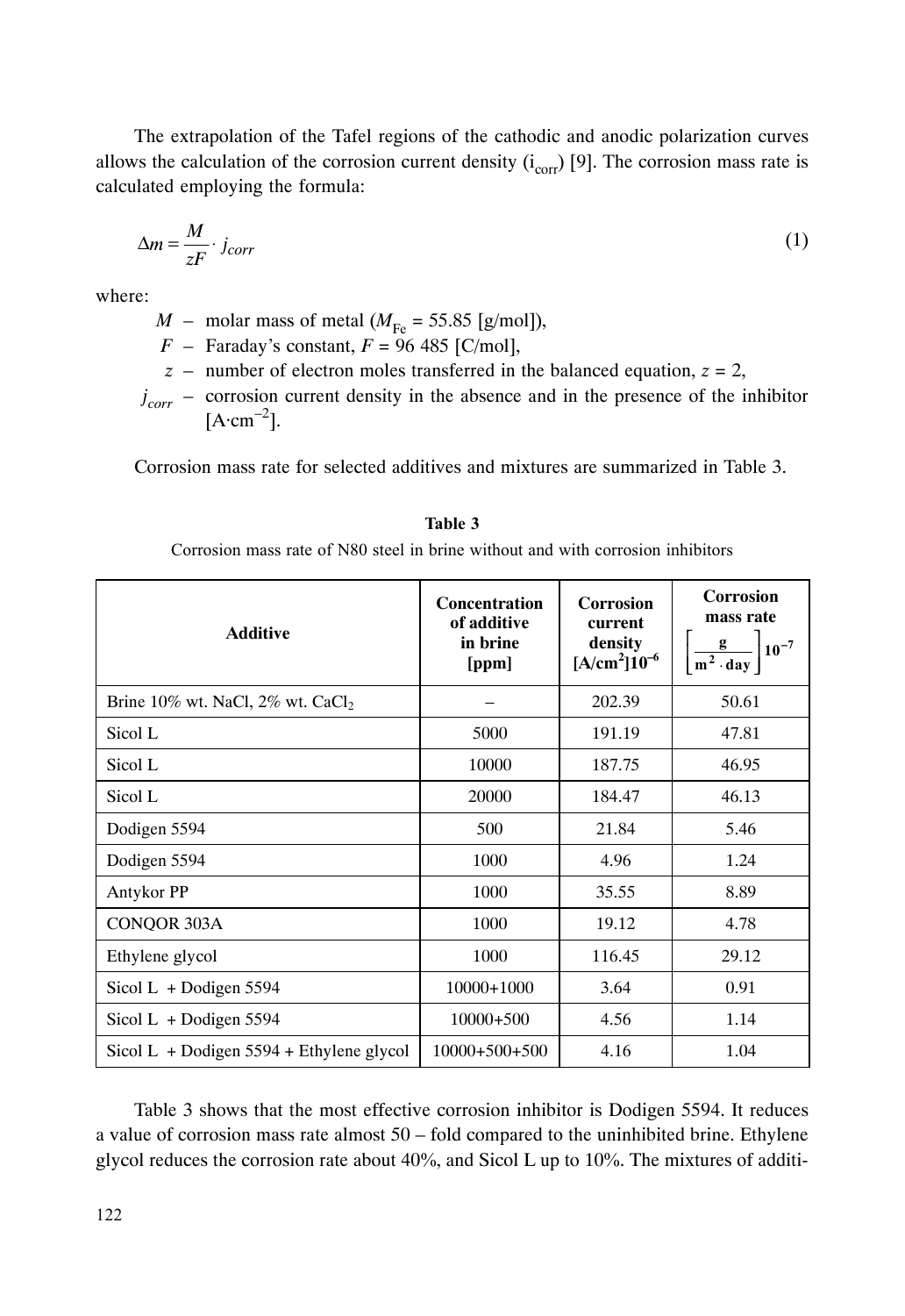The extrapolation of the Tafel regions of the cathodic and anodic polarization curves allows the calculation of the corrosion current density  $(i_{corr})$  [9]. The corrosion mass rate is calculated employing the formula:

$$
\Delta m = \frac{M}{zF} \cdot j_{corr} \tag{1}
$$

where:

 $M$  – molar mass of metal ( $M_{\text{Fe}}$  = 55.85 [g/mol]),

 $F -$  Faraday's constant,  $F = 96,485$  [C/mol],

 $z$  – number of electron moles transferred in the balanced equation,  $z = 2$ ,

 $j_{corr}$  – corrosion current density in the absence and in the presence of the inhibitor  $[A \cdot cm^{-2}]$ .

Corrosion mass rate for selected additives and mixtures are summarized in Table 3.

| <b>Additive</b>                                    | <b>Concentration</b><br>of additive<br>in brine<br>[ppm] | Corrosion<br>current<br>density<br>$[A/cm^2]10^{-6}$ | <b>Corrosion</b><br>mass rate<br>$\left[\frac{g}{m^2 \cdot day}\right]$ 10 <sup>-7</sup> |
|----------------------------------------------------|----------------------------------------------------------|------------------------------------------------------|------------------------------------------------------------------------------------------|
| Brine $10\%$ wt. NaCl, $2\%$ wt. CaCl <sub>2</sub> |                                                          | 202.39                                               | 50.61                                                                                    |
| Sicol L                                            | 5000                                                     | 191.19                                               | 47.81                                                                                    |
| Sicol L                                            | 10000                                                    | 187.75                                               | 46.95                                                                                    |
| Sicol L                                            | 20000                                                    | 184.47                                               | 46.13                                                                                    |
| Dodigen 5594                                       | 500                                                      | 21.84                                                | 5.46                                                                                     |
| Dodigen 5594                                       | 1000                                                     | 4.96                                                 | 1.24                                                                                     |
| Antykor PP                                         | 1000                                                     | 35.55                                                | 8.89                                                                                     |
| CONQOR 303A                                        | 1000                                                     | 19.12                                                | 4.78                                                                                     |
| Ethylene glycol                                    | 1000                                                     | 116.45                                               | 29.12                                                                                    |
| Sicol L + Dodigen $5594$                           | 10000+1000                                               | 3.64                                                 | 0.91                                                                                     |
| Sicol $L$ + Dodigen 5594                           | $10000+500$                                              | 4.56                                                 | 1.14                                                                                     |
| Sicol L + Dodigen $5594$ + Ethylene glycol         | $10000+500+500$                                          | 4.16                                                 | 1.04                                                                                     |

## Table 3

Corrosion mass rate of N80 steel in brine without and with corrosion inhibitors

Table 3 shows that the most effective corrosion inhibitor is Dodigen 5594. It reduces a value of corrosion mass rate almost 50 – fold compared to the uninhibited brine. Ethylene glycol reduces the corrosion rate about  $40\%$ , and Sicol L up to 10%. The mixtures of additi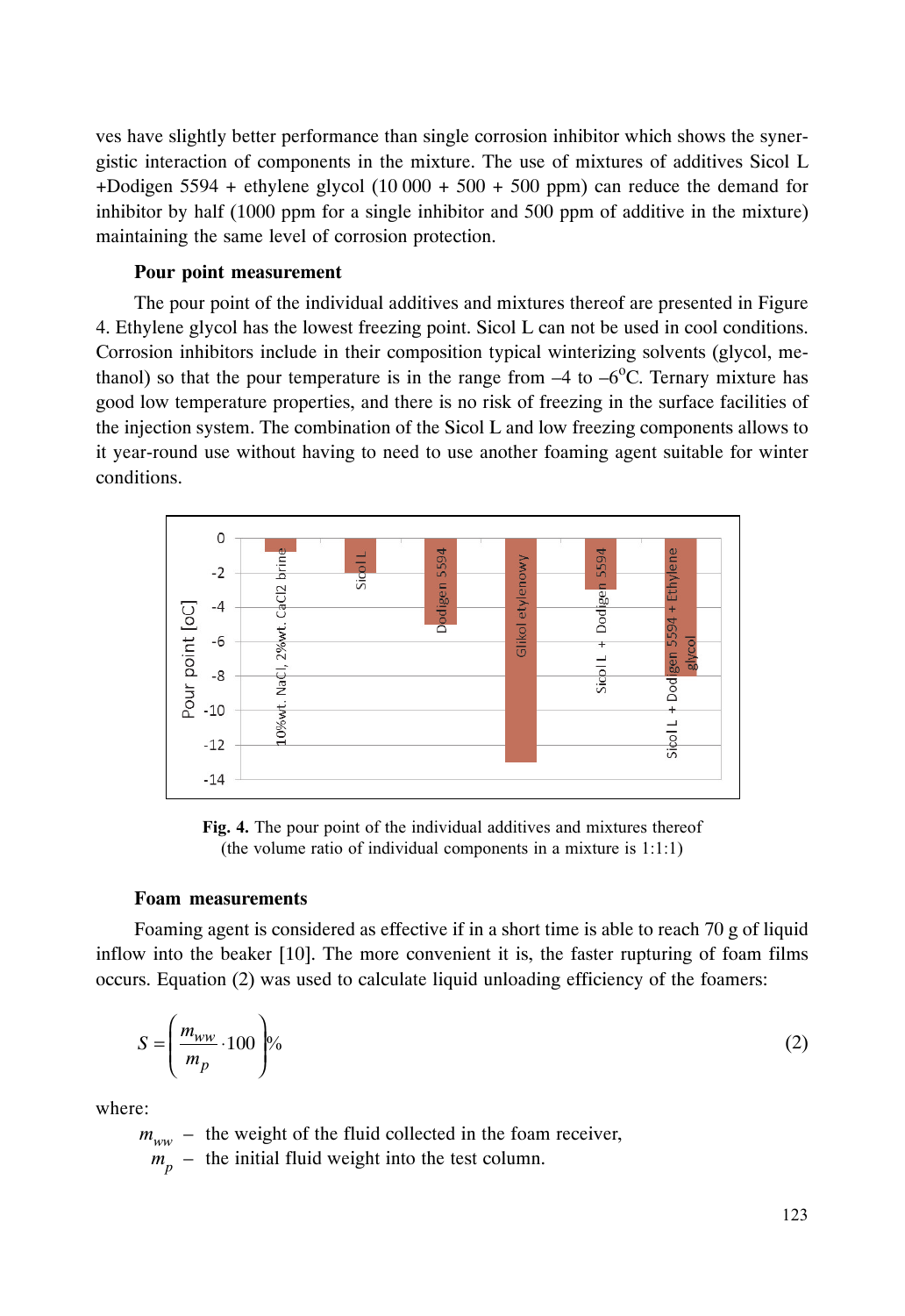ves have slightly better performance than single corrosion inhibitor which shows the synergistic interaction of components in the mixture. The use of mixtures of additives Sicol L +Dodigen 5594 + ethylene glycol  $(10\,000 + 500 + 500)$  ppm) can reduce the demand for inhibitor by half (1000 ppm for a single inhibitor and 500 ppm of additive in the mixture) maintaining the same level of corrosion protection.

### **Pour point measurement**

The pour point of the individual additives and mixtures thereof are presented in Figure 4. Ethylene glycol has the lowest freezing point. Sicol L can not be used in cool conditions. Corrosion inhibitors include in their composition typical winterizing solvents (glycol, methanol) so that the pour temperature is in the range from  $-4$  to  $-6^{\circ}$ C. Ternary mixture has good low temperature properties, and there is no risk of freezing in the surface facilities of the injection system. The combination of the Sicol L and low freezing components allows to it year-round use without having to need to use another foaming agent suitable for winter conditions.



Fig. 4. The pour point of the individual additives and mixtures thereof (the volume ratio of individual components in a mixture is  $1:1:1$ )

#### **Foam measurements**

Foaming agent is considered as effective if in a short time is able to reach 70 g of liquid inflow into the beaker [10]. The more convenient it is, the faster rupturing of foam films occurs. Equation (2) was used to calculate liquid unloading efficiency of the foamers:

$$
S = \left(\frac{m_{ww}}{m_p} \cdot 100\right)\%
$$
 (2)

where:

 $m_{ww}$  – the weight of the fluid collected in the foam receiver,  $m_p$  – the initial fluid weight into the test column.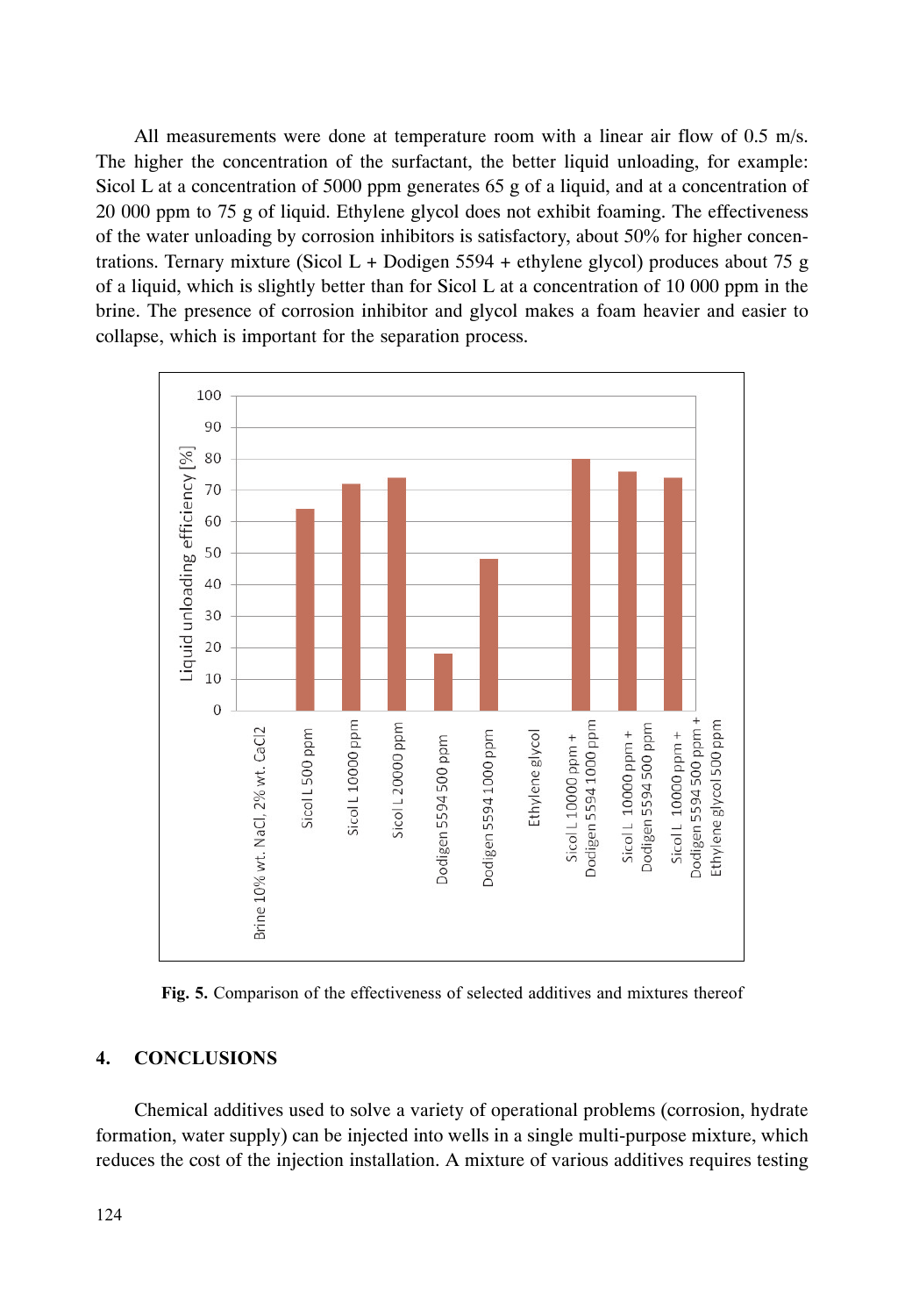All measurements were done at temperature room with a linear air flow of 0.5 m/s. The higher the concentration of the surfactant, the better liquid unloading, for example: Sicol L at a concentration of 5000 ppm generates 65 g of a liquid, and at a concentration of 20 000 ppm to 75 g of liquid. Ethylene glycol does not exhibit foaming. The effectiveness of the water unloading by corrosion inhibitors is satisfactory, about 50% for higher concentrations. Ternary mixture (Sicol L + Dodigen  $5594 +$  ethylene glycol) produces about 75 g of a liquid, which is slightly better than for Sicol L at a concentration of 10 000 ppm in the brine. The presence of corrosion inhibitor and glycol makes a foam heavier and easier to collapse, which is important for the separation process.



Fig. 5. Comparison of the effectiveness of selected additives and mixtures thereof

# 4. CONCLUSIONS

Chemical additives used to solve a variety of operational problems (corrosion, hydrate formation, water supply) can be injected into wells in a single multi-purpose mixture, which reduces the cost of the injection installation. A mixture of various additives requires testing